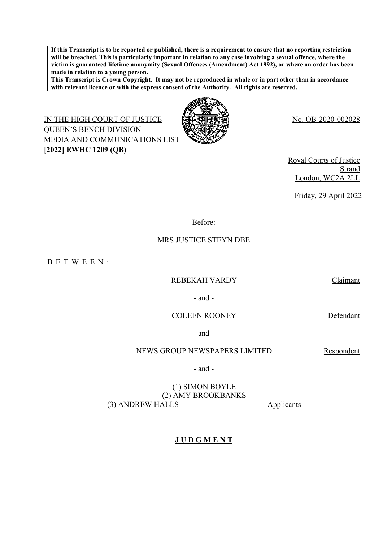**If this Transcript is to be reported or published, there is a requirement to ensure that no reporting restriction will be breached. This is particularly important in relation to any case involving a sexual offence, where the victim is guaranteed lifetime anonymity (Sexual Offences (Amendment) Act 1992), or where an order has been made in relation to a young person.**

**This Transcript is Crown Copyright. It may not be reproduced in whole or in part other than in accordance with relevant licence or with the express consent of the Authority. All rights are reserved.**

IN THE HIGH COURT OF JUSTICE **NAVEL FOR THE HIGH COURT OF JUSTICE**  $\mathbb{R}$ QUEEN'S BENCH DIVISION MEDIA AND COMMUNICATIONS LIST **[2022] EWHC 1209 (QB)**



Royal Courts of Justice Strand London, WC2A 2LL

Friday, 29 April 2022

Before:

## MRS JUSTICE STEYN DBE

B E T W E E N :

#### REBEKAH VARDY Claimant

- and -

COLEEN ROONEY Defendant

- and -

#### NEWS GROUP NEWSPAPERS LIMITED Respondent

- and -

(1) SIMON BOYLE (2) AMY BROOKBANKS (3) ANDREW HALLS Applicants

**J U D G M E N T**

 $\frac{1}{2}$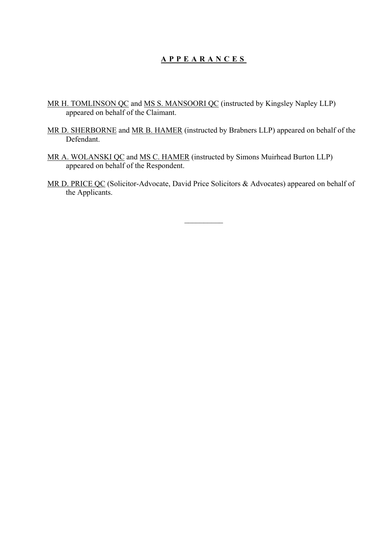# **A P P E A R A N C E S**

- MR H. TOMLINSON QC and MS S. MANSOORI QC (instructed by Kingsley Napley LLP) appeared on behalf of the Claimant.
- MR D. SHERBORNE and MR B. HAMER (instructed by Brabners LLP) appeared on behalf of the Defendant.
- MR A. WOLANSKI QC and MS C. HAMER (instructed by Simons Muirhead Burton LLP) appeared on behalf of the Respondent.
- MR D. PRICE QC (Solicitor-Advocate, David Price Solicitors & Advocates) appeared on behalf of the Applicants.

 $\frac{1}{2}$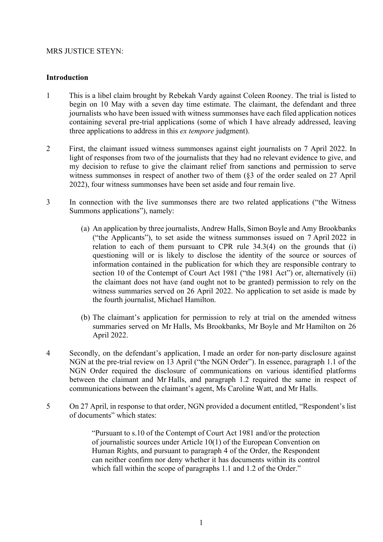## MRS JUSTICE STEYN:

# **Introduction**

- 1 This is a libel claim brought by Rebekah Vardy against Coleen Rooney. The trial is listed to begin on 10 May with a seven day time estimate. The claimant, the defendant and three journalists who have been issued with witness summonses have each filed application notices containing several pre-trial applications (some of which I have already addressed, leaving three applications to address in this *ex tempore* judgment).
- 2 First, the claimant issued witness summonses against eight journalists on 7 April 2022. In light of responses from two of the journalists that they had no relevant evidence to give, and my decision to refuse to give the claimant relief from sanctions and permission to serve witness summonses in respect of another two of them (§3 of the order sealed on 27 April 2022), four witness summonses have been set aside and four remain live.
- 3 In connection with the live summonses there are two related applications ("the Witness Summons applications"), namely:
	- (a) An application by three journalists, Andrew Halls, Simon Boyle and Amy Brookbanks ("the Applicants"), to set aside the witness summonses issued on 7 April 2022 in relation to each of them pursuant to CPR rule 34.3(4) on the grounds that (i) questioning will or is likely to disclose the identity of the source or sources of information contained in the publication for which they are responsible contrary to section 10 of the Contempt of Court Act 1981 ("the 1981 Act") or, alternatively (ii) the claimant does not have (and ought not to be granted) permission to rely on the witness summaries served on 26 April 2022. No application to set aside is made by the fourth journalist, Michael Hamilton.
	- (b) The claimant's application for permission to rely at trial on the amended witness summaries served on Mr Halls, Ms Brookbanks, Mr Boyle and Mr Hamilton on 26 April 2022.
- 4 Secondly, on the defendant's application, I made an order for non-party disclosure against NGN at the pre-trial review on 13 April ("the NGN Order"). In essence, paragraph 1.1 of the NGN Order required the disclosure of communications on various identified platforms between the claimant and Mr Halls, and paragraph 1.2 required the same in respect of communications between the claimant's agent, Ms Caroline Watt, and Mr Halls.
- 5 On 27 April, in response to that order, NGN provided a document entitled, "Respondent's list of documents" which states:

"Pursuant to s.10 of the Contempt of Court Act 1981 and/or the protection of journalistic sources under Article 10(1) of the European Convention on Human Rights, and pursuant to paragraph 4 of the Order, the Respondent can neither confirm nor deny whether it has documents within its control which fall within the scope of paragraphs 1.1 and 1.2 of the Order."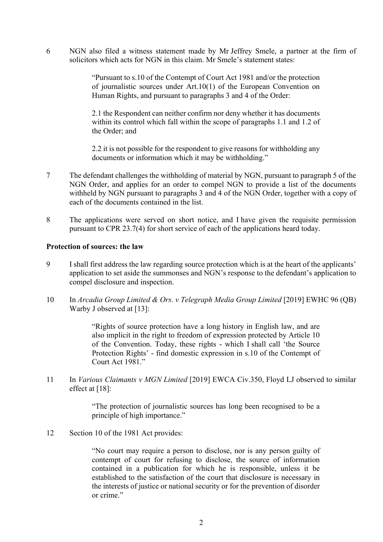6 NGN also filed a witness statement made by Mr Jeffrey Smele, a partner at the firm of solicitors which acts for NGN in this claim. Mr Smele's statement states:

> "Pursuant to s.10 of the Contempt of Court Act 1981 and/or the protection of journalistic sources under Art.10(1) of the European Convention on Human Rights, and pursuant to paragraphs 3 and 4 of the Order:

> 2.1 the Respondent can neither confirm nor deny whether it has documents within its control which fall within the scope of paragraphs 1.1 and 1.2 of the Order; and

> 2.2 it is not possible for the respondent to give reasons for withholding any documents or information which it may be withholding."

- 7 The defendant challenges the withholding of material by NGN, pursuant to paragraph 5 of the NGN Order, and applies for an order to compel NGN to provide a list of the documents withheld by NGN pursuant to paragraphs 3 and 4 of the NGN Order, together with a copy of each of the documents contained in the list.
- 8 The applications were served on short notice, and I have given the requisite permission pursuant to CPR 23.7(4) for short service of each of the applications heard today.

## **Protection of sources: the law**

- 9 I shall first address the law regarding source protection which is at the heart of the applicants' application to set aside the summonses and NGN's response to the defendant's application to compel disclosure and inspection.
- 10 In *Arcadia Group Limited & Ors. v Telegraph Media Group Limited* [2019] EWHC 96 (QB) Warby J observed at [13]:

"Rights of source protection have a long history in English law, and are also implicit in the right to freedom of expression protected by Article 10 of the Convention. Today, these rights - which I shall call 'the Source Protection Rights' - find domestic expression in s.10 of the Contempt of Court Act 1981."

11 In *Various Claimants v MGN Limited* [2019] EWCA Civ.350, Floyd LJ observed to similar effect at [18]:

> "The protection of journalistic sources has long been recognised to be a principle of high importance."

12 Section 10 of the 1981 Act provides:

"No court may require a person to disclose, nor is any person guilty of contempt of court for refusing to disclose, the source of information contained in a publication for which he is responsible, unless it be established to the satisfaction of the court that disclosure is necessary in the interests of justice or national security or for the prevention of disorder or crime."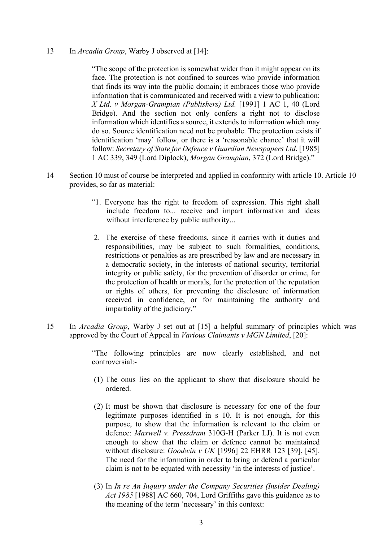#### 13 In *Arcadia Group*, Warby J observed at [14]:

"The scope of the protection is somewhat wider than it might appear on its face. The protection is not confined to sources who provide information that finds its way into the public domain; it embraces those who provide information that is communicated and received with a view to publication: *X Ltd. v Morgan-Grampian (Publishers) Ltd.* [1991] 1 AC 1, 40 (Lord Bridge). And the section not only confers a right not to disclose information which identifies a source, it extends to information which may do so. Source identification need not be probable. The protection exists if identification 'may' follow, or there is a 'reasonable chance' that it will follow: *Secretary of State for Defence v Guardian Newspapers Ltd*. [1985] 1 AC 339, 349 (Lord Diplock), *Morgan Grampian*, 372 (Lord Bridge)."

- 14 Section 10 must of course be interpreted and applied in conformity with article 10. Article 10 provides, so far as material:
	- "1. Everyone has the right to freedom of expression. This right shall include freedom to... receive and impart information and ideas without interference by public authority...
	- 2. The exercise of these freedoms, since it carries with it duties and responsibilities, may be subject to such formalities, conditions, restrictions or penalties as are prescribed by law and are necessary in a democratic society, in the interests of national security, territorial integrity or public safety, for the prevention of disorder or crime, for the protection of health or morals, for the protection of the reputation or rights of others, for preventing the disclosure of information received in confidence, or for maintaining the authority and impartiality of the judiciary."
- 15 In *Arcadia Group*, Warby J set out at [15] a helpful summary of principles which was approved by the Court of Appeal in *Various Claimants v MGN Limited*, [20]:

"The following principles are now clearly established, and not controversial:-

- (1) The onus lies on the applicant to show that disclosure should be ordered.
- (2) It must be shown that disclosure is necessary for one of the four legitimate purposes identified in s 10. It is not enough, for this purpose, to show that the information is relevant to the claim or defence: *Maxwell v. Pressdram* 310G-H (Parker LJ). It is not even enough to show that the claim or defence cannot be maintained without disclosure: *Goodwin v UK* [1996] 22 EHRR 123 [39], [45]. The need for the information in order to bring or defend a particular claim is not to be equated with necessity 'in the interests of justice'.
- (3) In *In re An Inquiry under the Company Securities (Insider Dealing) Act 1985* [1988] AC 660, 704, Lord Griffiths gave this guidance as to the meaning of the term 'necessary' in this context: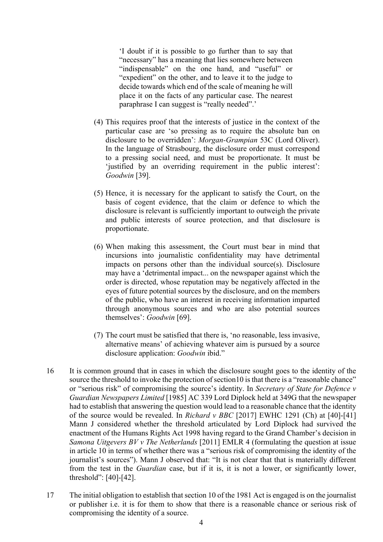'I doubt if it is possible to go further than to say that "necessary" has a meaning that lies somewhere between "indispensable" on the one hand, and "useful" or "expedient" on the other, and to leave it to the judge to decide towards which end of the scale of meaning he will place it on the facts of any particular case. The nearest paraphrase I can suggest is "really needed".'

- (4) This requires proof that the interests of justice in the context of the particular case are 'so pressing as to require the absolute ban on disclosure to be overridden': *Morgan-Grampian* 53C (Lord Oliver). In the language of Strasbourg, the disclosure order must correspond to a pressing social need, and must be proportionate. It must be 'justified by an overriding requirement in the public interest': *Goodwin* [39].
- (5) Hence, it is necessary for the applicant to satisfy the Court, on the basis of cogent evidence, that the claim or defence to which the disclosure is relevant is sufficiently important to outweigh the private and public interests of source protection, and that disclosure is proportionate.
- (6) When making this assessment, the Court must bear in mind that incursions into journalistic confidentiality may have detrimental impacts on persons other than the individual source(s). Disclosure may have a 'detrimental impact... on the newspaper against which the order is directed, whose reputation may be negatively affected in the eyes of future potential sources by the disclosure, and on the members of the public, who have an interest in receiving information imparted through anonymous sources and who are also potential sources themselves': *Goodwin* [69].
- (7) The court must be satisfied that there is, 'no reasonable, less invasive, alternative means' of achieving whatever aim is pursued by a source disclosure application: *Goodwin* ibid."
- 16 It is common ground that in cases in which the disclosure sought goes to the identity of the source the threshold to invoke the protection of section10 is that there is a "reasonable chance" or "serious risk" of compromising the source's identity. In *Secretary of State for Defence v Guardian Newspapers Limited* [1985] AC 339 Lord Diplock held at 349G that the newspaper had to establish that answering the question would lead to a reasonable chance that the identity of the source would be revealed. In *Richard v BBC* [2017] EWHC 1291 (Ch) at [40]-[41] Mann J considered whether the threshold articulated by Lord Diplock had survived the enactment of the Humans Rights Act 1998 having regard to the Grand Chamber's decision in *Samona Uitgevers BV v The Netherlands* [2011] EMLR 4 (formulating the question at issue in article 10 in terms of whether there was a "serious risk of compromising the identity of the journalist's sources"). Mann J observed that: "It is not clear that that is materially different from the test in the *Guardian* case, but if it is, it is not a lower, or significantly lower, threshold": [40]-[42].
- 17 The initial obligation to establish that section 10 of the 1981 Act is engaged is on the journalist or publisher i.e. it is for them to show that there is a reasonable chance or serious risk of compromising the identity of a source.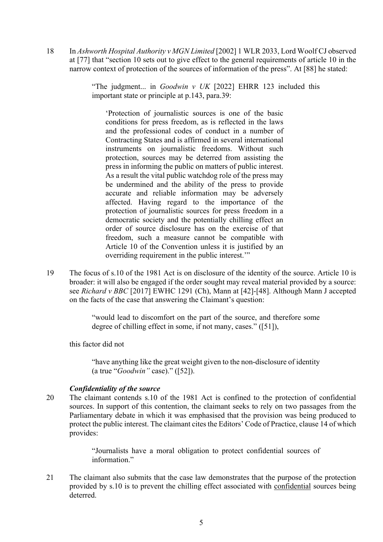18 In *Ashworth Hospital Authority v MGN Limited* [2002] 1 WLR 2033, Lord Woolf CJ observed at [77] that "section 10 sets out to give effect to the general requirements of article 10 in the narrow context of protection of the sources of information of the press". At [88] he stated:

> "The judgment... in *Goodwin v UK* [2022] EHRR 123 included this important state or principle at p.143, para.39:

'Protection of journalistic sources is one of the basic conditions for press freedom, as is reflected in the laws and the professional codes of conduct in a number of Contracting States and is affirmed in several international instruments on journalistic freedoms. Without such protection, sources may be deterred from assisting the press in informing the public on matters of public interest. As a result the vital public watchdog role of the press may be undermined and the ability of the press to provide accurate and reliable information may be adversely affected. Having regard to the importance of the protection of journalistic sources for press freedom in a democratic society and the potentially chilling effect an order of source disclosure has on the exercise of that freedom, such a measure cannot be compatible with Article 10 of the Convention unless it is justified by an overriding requirement in the public interest.'"

19 The focus of s.10 of the 1981 Act is on disclosure of the identity of the source. Article 10 is broader: it will also be engaged if the order sought may reveal material provided by a source: see *Richard v BBC* [2017] EWHC 1291 (Ch), Mann at [42]-[48]. Although Mann J accepted on the facts of the case that answering the Claimant's question:

> "would lead to discomfort on the part of the source, and therefore some degree of chilling effect in some, if not many, cases." ([51]),

this factor did not

"have anything like the great weight given to the non-disclosure of identity (a true "*Goodwin"* case)." ([52]).

## *Confidentiality of the source*

20 The claimant contends s.10 of the 1981 Act is confined to the protection of confidential sources. In support of this contention, the claimant seeks to rely on two passages from the Parliamentary debate in which it was emphasised that the provision was being produced to protect the public interest. The claimant cites the Editors' Code of Practice, clause 14 of which provides:

> "Journalists have a moral obligation to protect confidential sources of information"

21 The claimant also submits that the case law demonstrates that the purpose of the protection provided by s.10 is to prevent the chilling effect associated with confidential sources being deterred.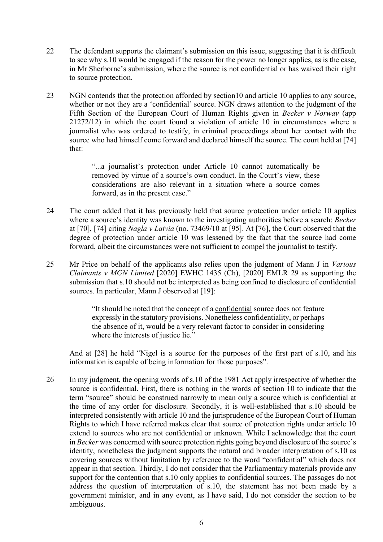- 22 The defendant supports the claimant's submission on this issue, suggesting that it is difficult to see why s.10 would be engaged if the reason for the power no longer applies, as is the case, in Mr Sherborne's submission, where the source is not confidential or has waived their right to source protection.
- 23 NGN contends that the protection afforded by section10 and article 10 applies to any source, whether or not they are a 'confidential' source. NGN draws attention to the judgment of the Fifth Section of the European Court of Human Rights given in *Becker v Norway* (app 21272/12) in which the court found a violation of article 10 in circumstances where a journalist who was ordered to testify, in criminal proceedings about her contact with the source who had himself come forward and declared himself the source. The court held at [74] that:

"...a journalist's protection under Article 10 cannot automatically be removed by virtue of a source's own conduct. In the Court's view, these considerations are also relevant in a situation where a source comes forward, as in the present case."

- 24 The court added that it has previously held that source protection under article 10 applies where a source's identity was known to the investigating authorities before a search: *Becker* at [70], [74] citing *Nagla v Latvia* (no. 73469/10 at [95]. At [76], the Court observed that the degree of protection under article 10 was lessened by the fact that the source had come forward, albeit the circumstances were not sufficient to compel the journalist to testify.
- 25 Mr Price on behalf of the applicants also relies upon the judgment of Mann J in *Various Claimants v MGN Limited* [2020] EWHC 1435 (Ch), [2020] EMLR 29 as supporting the submission that s.10 should not be interpreted as being confined to disclosure of confidential sources. In particular, Mann J observed at [19]:

"It should be noted that the concept of a confidential source does not feature expressly in the statutory provisions. Nonetheless confidentiality, or perhaps the absence of it, would be a very relevant factor to consider in considering where the interests of justice lie."

And at [28] he held "Nigel is a source for the purposes of the first part of s.10, and his information is capable of being information for those purposes".

26 In my judgment, the opening words of s.10 of the 1981 Act apply irrespective of whether the source is confidential. First, there is nothing in the words of section 10 to indicate that the term "source" should be construed narrowly to mean only a source which is confidential at the time of any order for disclosure. Secondly, it is well-established that s.10 should be interpreted consistently with article 10 and the jurisprudence of the European Court of Human Rights to which I have referred makes clear that source of protection rights under article 10 extend to sources who are not confidential or unknown. While I acknowledge that the court in *Becker* was concerned with source protection rights going beyond disclosure of the source's identity, nonetheless the judgment supports the natural and broader interpretation of s.10 as covering sources without limitation by reference to the word "confidential" which does not appear in that section. Thirdly, I do not consider that the Parliamentary materials provide any support for the contention that s.10 only applies to confidential sources. The passages do not address the question of interpretation of s.10, the statement has not been made by a government minister, and in any event, as I have said, I do not consider the section to be ambiguous.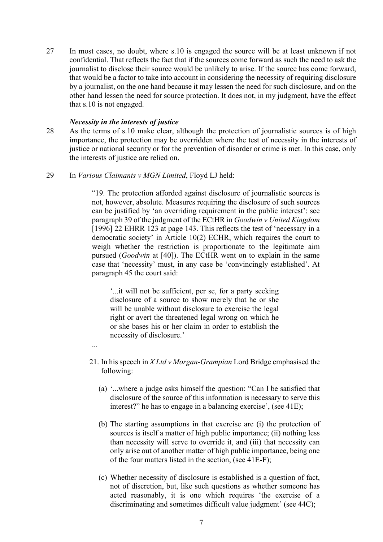27 In most cases, no doubt, where s.10 is engaged the source will be at least unknown if not confidential. That reflects the fact that if the sources come forward as such the need to ask the journalist to disclose their source would be unlikely to arise. If the source has come forward, that would be a factor to take into account in considering the necessity of requiring disclosure by a journalist, on the one hand because it may lessen the need for such disclosure, and on the other hand lessen the need for source protection. It does not, in my judgment, have the effect that s.10 is not engaged.

## *Necessity in the interests of justice*

...

- 28 As the terms of s.10 make clear, although the protection of journalistic sources is of high importance, the protection may be overridden where the test of necessity in the interests of justice or national security or for the prevention of disorder or crime is met. In this case, only the interests of justice are relied on.
- 29 In *Various Claimants v MGN Limited*, Floyd LJ held:

"19. The protection afforded against disclosure of journalistic sources is not, however, absolute. Measures requiring the disclosure of such sources can be justified by 'an overriding requirement in the public interest': see paragraph 39 of the judgment of the ECtHR in *Goodwin v United Kingdom*  [1996] 22 EHRR 123 at page 143. This reflects the test of 'necessary in a democratic society' in Article 10(2) ECHR, which requires the court to weigh whether the restriction is proportionate to the legitimate aim pursued (*Goodwin* at [40]). The ECtHR went on to explain in the same case that 'necessity' must, in any case be 'convincingly established'. At paragraph 45 the court said:

'...it will not be sufficient, per se, for a party seeking disclosure of a source to show merely that he or she will be unable without disclosure to exercise the legal right or avert the threatened legal wrong on which he or she bases his or her claim in order to establish the necessity of disclosure.'

- 21. In his speech in *X Ltd v Morgan-Grampian* Lord Bridge emphasised the following:
	- (a) '...where a judge asks himself the question: "Can I be satisfied that disclosure of the source of this information is necessary to serve this interest?" he has to engage in a balancing exercise', (see 41E);
	- (b) The starting assumptions in that exercise are (i) the protection of sources is itself a matter of high public importance; (ii) nothing less than necessity will serve to override it, and (iii) that necessity can only arise out of another matter of high public importance, being one of the four matters listed in the section, (see 41E-F);
	- (c) Whether necessity of disclosure is established is a question of fact, not of discretion, but, like such questions as whether someone has acted reasonably, it is one which requires 'the exercise of a discriminating and sometimes difficult value judgment' (see 44C);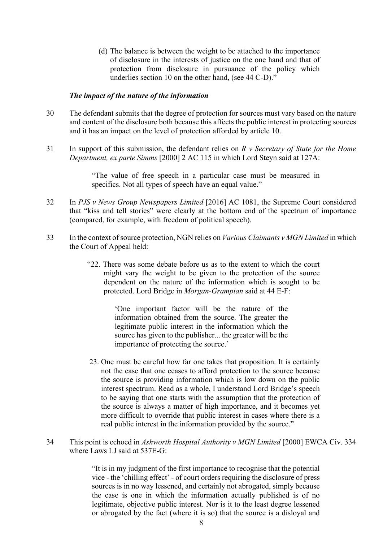(d) The balance is between the weight to be attached to the importance of disclosure in the interests of justice on the one hand and that of protection from disclosure in pursuance of the policy which underlies section 10 on the other hand, (see 44 C-D)."

#### *The impact of the nature of the information*

- 30 The defendant submits that the degree of protection for sources must vary based on the nature and content of the disclosure both because this affects the public interest in protecting sources and it has an impact on the level of protection afforded by article 10.
- 31 In support of this submission, the defendant relies on *R v Secretary of State for the Home Department, ex parte Simms* [2000] 2 AC 115 in which Lord Steyn said at 127A:

"The value of free speech in a particular case must be measured in specifics. Not all types of speech have an equal value."

- 32 In *PJS v News Group Newspapers Limited* [2016] AC 1081, the Supreme Court considered that "kiss and tell stories" were clearly at the bottom end of the spectrum of importance (compared, for example, with freedom of political speech).
- 33 In the context of source protection, NGN relies on *Various Claimants v MGN Limited* in which the Court of Appeal held:
	- "22. There was some debate before us as to the extent to which the court might vary the weight to be given to the protection of the source dependent on the nature of the information which is sought to be protected. Lord Bridge in *Morgan-Grampian* said at 44 E-F:

'One important factor will be the nature of the information obtained from the source. The greater the legitimate public interest in the information which the source has given to the publisher... the greater will be the importance of protecting the source.'

- 23. One must be careful how far one takes that proposition. It is certainly not the case that one ceases to afford protection to the source because the source is providing information which is low down on the public interest spectrum. Read as a whole, I understand Lord Bridge's speech to be saying that one starts with the assumption that the protection of the source is always a matter of high importance, and it becomes yet more difficult to override that public interest in cases where there is a real public interest in the information provided by the source."
- 34 This point is echoed in *Ashworth Hospital Authority v MGN Limited* [2000] EWCA Civ. 334 where Laws LJ said at 537E-G:

"It is in my judgment of the first importance to recognise that the potential vice - the 'chilling effect' - of court orders requiring the disclosure of press sources is in no way lessened, and certainly not abrogated, simply because the case is one in which the information actually published is of no legitimate, objective public interest. Nor is it to the least degree lessened or abrogated by the fact (where it is so) that the source is a disloyal and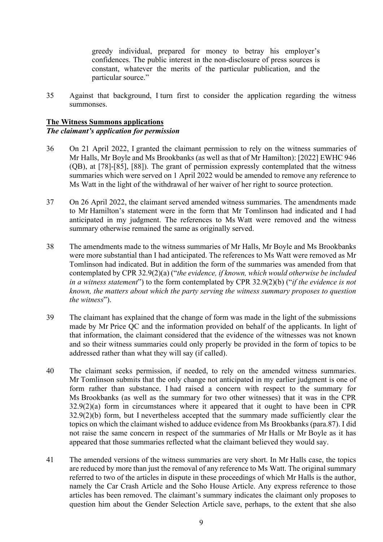greedy individual, prepared for money to betray his employer's confidences. The public interest in the non-disclosure of press sources is constant, whatever the merits of the particular publication, and the particular source."

35 Against that background, I turn first to consider the application regarding the witness summonses.

# **The Witness Summons applications** *The claimant's application for permission*

- 36 On 21 April 2022, I granted the claimant permission to rely on the witness summaries of Mr Halls, Mr Boyle and Ms Brookbanks (as well as that of Mr Hamilton): [2022] EWHC 946 (QB), at [78]-[85], [88]). The grant of permission expressly contemplated that the witness summaries which were served on 1 April 2022 would be amended to remove any reference to Ms Watt in the light of the withdrawal of her waiver of her right to source protection.
- 37 On 26 April 2022, the claimant served amended witness summaries. The amendments made to Mr Hamilton's statement were in the form that Mr Tomlinson had indicated and I had anticipated in my judgment. The references to Ms Watt were removed and the witness summary otherwise remained the same as originally served.
- 38 The amendments made to the witness summaries of Mr Halls, Mr Boyle and Ms Brookbanks were more substantial than I had anticipated. The references to Ms Watt were removed as Mr Tomlinson had indicated. But in addition the form of the summaries was amended from that contemplated by CPR 32.9(2)(a) ("*the evidence, if known, which would otherwise be included in a witness statement*") to the form contemplated by CPR 32.9(2)(b) ("*if the evidence is not known, the matters about which the party serving the witness summary proposes to question the witness*").
- 39 The claimant has explained that the change of form was made in the light of the submissions made by Mr Price QC and the information provided on behalf of the applicants. In light of that information, the claimant considered that the evidence of the witnesses was not known and so their witness summaries could only properly be provided in the form of topics to be addressed rather than what they will say (if called).
- 40 The claimant seeks permission, if needed, to rely on the amended witness summaries. Mr Tomlinson submits that the only change not anticipated in my earlier judgment is one of form rather than substance. I had raised a concern with respect to the summary for Ms Brookbanks (as well as the summary for two other witnesses) that it was in the CPR 32.9(2)(a) form in circumstances where it appeared that it ought to have been in CPR 32.9(2)(b) form, but I nevertheless accepted that the summary made sufficiently clear the topics on which the claimant wished to adduce evidence from Ms Brookbanks (para.87). I did not raise the same concern in respect of the summaries of Mr Halls or Mr Boyle as it has appeared that those summaries reflected what the claimant believed they would say.
- 41 The amended versions of the witness summaries are very short. In Mr Halls case, the topics are reduced by more than just the removal of any reference to Ms Watt. The original summary referred to two of the articles in dispute in these proceedings of which Mr Halls is the author, namely the Car Crash Article and the Soho House Article. Any express reference to those articles has been removed. The claimant's summary indicates the claimant only proposes to question him about the Gender Selection Article save, perhaps, to the extent that she also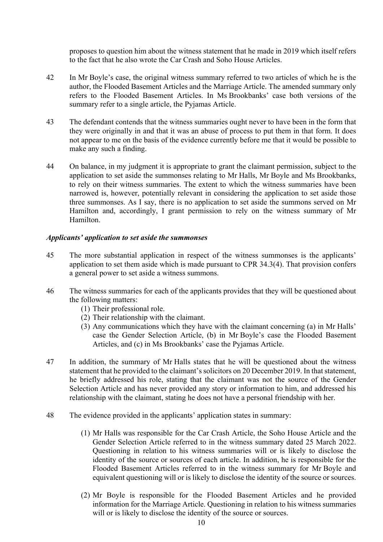proposes to question him about the witness statement that he made in 2019 which itself refers to the fact that he also wrote the Car Crash and Soho House Articles.

- 42 In Mr Boyle's case, the original witness summary referred to two articles of which he is the author, the Flooded Basement Articles and the Marriage Article. The amended summary only refers to the Flooded Basement Articles. In Ms Brookbanks' case both versions of the summary refer to a single article, the Pyjamas Article.
- 43 The defendant contends that the witness summaries ought never to have been in the form that they were originally in and that it was an abuse of process to put them in that form. It does not appear to me on the basis of the evidence currently before me that it would be possible to make any such a finding.
- 44 On balance, in my judgment it is appropriate to grant the claimant permission, subject to the application to set aside the summonses relating to Mr Halls, Mr Boyle and Ms Brookbanks, to rely on their witness summaries. The extent to which the witness summaries have been narrowed is, however, potentially relevant in considering the application to set aside those three summonses. As I say, there is no application to set aside the summons served on Mr Hamilton and, accordingly, I grant permission to rely on the witness summary of Mr Hamilton.

# *Applicants' application to set aside the summonses*

- 45 The more substantial application in respect of the witness summonses is the applicants' application to set them aside which is made pursuant to CPR 34.3(4). That provision confers a general power to set aside a witness summons.
- 46 The witness summaries for each of the applicants provides that they will be questioned about the following matters:
	- (1) Their professional role.
	- (2) Their relationship with the claimant.
	- (3) Any communications which they have with the claimant concerning (a) in Mr Halls' case the Gender Selection Article, (b) in Mr Boyle's case the Flooded Basement Articles, and (c) in Ms Brookbanks' case the Pyjamas Article.
- 47 In addition, the summary of Mr Halls states that he will be questioned about the witness statement that he provided to the claimant's solicitors on 20 December 2019. In that statement, he briefly addressed his role, stating that the claimant was not the source of the Gender Selection Article and has never provided any story or information to him, and addressed his relationship with the claimant, stating he does not have a personal friendship with her.
- 48 The evidence provided in the applicants' application states in summary:
	- (1) Mr Halls was responsible for the Car Crash Article, the Soho House Article and the Gender Selection Article referred to in the witness summary dated 25 March 2022. Questioning in relation to his witness summaries will or is likely to disclose the identity of the source or sources of each article. In addition, he is responsible for the Flooded Basement Articles referred to in the witness summary for Mr Boyle and equivalent questioning will or is likely to disclose the identity of the source or sources.
	- (2) Mr Boyle is responsible for the Flooded Basement Articles and he provided information for the Marriage Article. Questioning in relation to his witness summaries will or is likely to disclose the identity of the source or sources.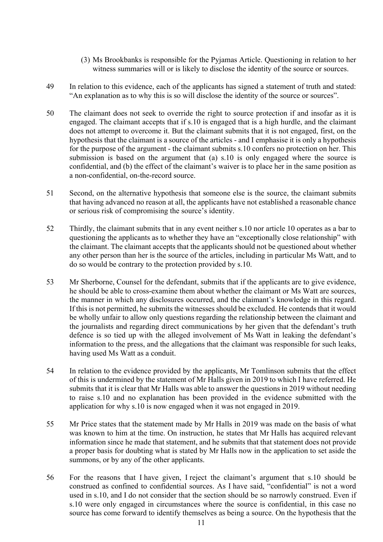- (3) Ms Brookbanks is responsible for the Pyjamas Article. Questioning in relation to her witness summaries will or is likely to disclose the identity of the source or sources.
- 49 In relation to this evidence, each of the applicants has signed a statement of truth and stated: "An explanation as to why this is so will disclose the identity of the source or sources".
- 50 The claimant does not seek to override the right to source protection if and insofar as it is engaged. The claimant accepts that if s.10 is engaged that is a high hurdle, and the claimant does not attempt to overcome it. But the claimant submits that it is not engaged, first, on the hypothesis that the claimant is a source of the articles - and I emphasise it is only a hypothesis for the purpose of the argument - the claimant submits s.10 confers no protection on her. This submission is based on the argument that (a) s.10 is only engaged where the source is confidential, and (b) the effect of the claimant's waiver is to place her in the same position as a non-confidential, on-the-record source.
- 51 Second, on the alternative hypothesis that someone else is the source, the claimant submits that having advanced no reason at all, the applicants have not established a reasonable chance or serious risk of compromising the source's identity.
- 52 Thirdly, the claimant submits that in any event neither s.10 nor article 10 operates as a bar to questioning the applicants as to whether they have an "exceptionally close relationship" with the claimant. The claimant accepts that the applicants should not be questioned about whether any other person than her is the source of the articles, including in particular Ms Watt, and to do so would be contrary to the protection provided by s.10.
- 53 Mr Sherborne, Counsel for the defendant, submits that if the applicants are to give evidence, he should be able to cross-examine them about whether the claimant or Ms Watt are sources, the manner in which any disclosures occurred, and the claimant's knowledge in this regard. If this is not permitted, he submits the witnesses should be excluded. He contends that it would be wholly unfair to allow only questions regarding the relationship between the claimant and the journalists and regarding direct communications by her given that the defendant's truth defence is so tied up with the alleged involvement of Ms Watt in leaking the defendant's information to the press, and the allegations that the claimant was responsible for such leaks, having used Ms Watt as a conduit.
- 54 In relation to the evidence provided by the applicants, Mr Tomlinson submits that the effect of this is undermined by the statement of Mr Halls given in 2019 to which I have referred. He submits that it is clear that Mr Halls was able to answer the questions in 2019 without needing to raise s.10 and no explanation has been provided in the evidence submitted with the application for why s.10 is now engaged when it was not engaged in 2019.
- 55 Mr Price states that the statement made by Mr Halls in 2019 was made on the basis of what was known to him at the time. On instruction, he states that Mr Halls has acquired relevant information since he made that statement, and he submits that that statement does not provide a proper basis for doubting what is stated by Mr Halls now in the application to set aside the summons, or by any of the other applicants.
- 56 For the reasons that I have given, I reject the claimant's argument that s.10 should be construed as confined to confidential sources. As I have said, "confidential" is not a word used in s.10, and I do not consider that the section should be so narrowly construed. Even if s.10 were only engaged in circumstances where the source is confidential, in this case no source has come forward to identify themselves as being a source. On the hypothesis that the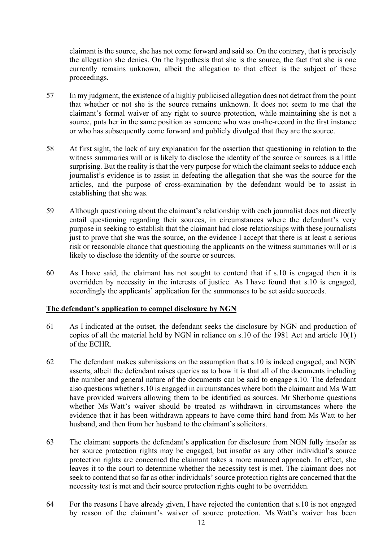claimant is the source, she has not come forward and said so. On the contrary, that is precisely the allegation she denies. On the hypothesis that she is the source, the fact that she is one currently remains unknown, albeit the allegation to that effect is the subject of these proceedings.

- 57 In my judgment, the existence of a highly publicised allegation does not detract from the point that whether or not she is the source remains unknown. It does not seem to me that the claimant's formal waiver of any right to source protection, while maintaining she is not a source, puts her in the same position as someone who was on-the-record in the first instance or who has subsequently come forward and publicly divulged that they are the source.
- 58 At first sight, the lack of any explanation for the assertion that questioning in relation to the witness summaries will or is likely to disclose the identity of the source or sources is a little surprising. But the reality is that the very purpose for which the claimant seeks to adduce each journalist's evidence is to assist in defeating the allegation that she was the source for the articles, and the purpose of cross-examination by the defendant would be to assist in establishing that she was.
- 59 Although questioning about the claimant's relationship with each journalist does not directly entail questioning regarding their sources, in circumstances where the defendant's very purpose in seeking to establish that the claimant had close relationships with these journalists just to prove that she was the source, on the evidence I accept that there is at least a serious risk or reasonable chance that questioning the applicants on the witness summaries will or is likely to disclose the identity of the source or sources.
- 60 As I have said, the claimant has not sought to contend that if s.10 is engaged then it is overridden by necessity in the interests of justice. As I have found that s.10 is engaged, accordingly the applicants' application for the summonses to be set aside succeeds.

## **The defendant's application to compel disclosure by NGN**

- 61 As I indicated at the outset, the defendant seeks the disclosure by NGN and production of copies of all the material held by NGN in reliance on s.10 of the 1981 Act and article 10(1) of the ECHR.
- 62 The defendant makes submissions on the assumption that s.10 is indeed engaged, and NGN asserts, albeit the defendant raises queries as to how it is that all of the documents including the number and general nature of the documents can be said to engage s.10. The defendant also questions whether s.10 is engaged in circumstances where both the claimant and Ms Watt have provided waivers allowing them to be identified as sources. Mr Sherborne questions whether Ms Watt's waiver should be treated as withdrawn in circumstances where the evidence that it has been withdrawn appears to have come third hand from Ms Watt to her husband, and then from her husband to the claimant's solicitors.
- 63 The claimant supports the defendant's application for disclosure from NGN fully insofar as her source protection rights may be engaged, but insofar as any other individual's source protection rights are concerned the claimant takes a more nuanced approach. In effect, she leaves it to the court to determine whether the necessity test is met. The claimant does not seek to contend that so far as other individuals' source protection rights are concerned that the necessity test is met and their source protection rights ought to be overridden.
- 64 For the reasons I have already given, I have rejected the contention that s.10 is not engaged by reason of the claimant's waiver of source protection. Ms Watt's waiver has been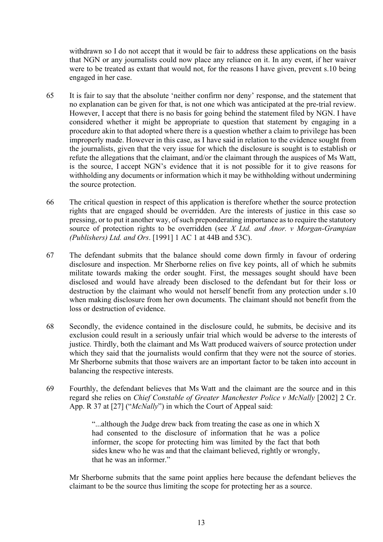withdrawn so I do not accept that it would be fair to address these applications on the basis that NGN or any journalists could now place any reliance on it. In any event, if her waiver were to be treated as extant that would not, for the reasons I have given, prevent s.10 being engaged in her case.

- 65 It is fair to say that the absolute 'neither confirm nor deny' response, and the statement that no explanation can be given for that, is not one which was anticipated at the pre-trial review. However, I accept that there is no basis for going behind the statement filed by NGN. I have considered whether it might be appropriate to question that statement by engaging in a procedure akin to that adopted where there is a question whether a claim to privilege has been improperly made. However in this case, as I have said in relation to the evidence sought from the journalists, given that the very issue for which the disclosure is sought is to establish or refute the allegations that the claimant, and/or the claimant through the auspices of Ms Watt, is the source, I accept NGN's evidence that it is not possible for it to give reasons for withholding any documents or information which it may be withholding without undermining the source protection.
- 66 The critical question in respect of this application is therefore whether the source protection rights that are engaged should be overridden. Are the interests of justice in this case so pressing, or to put it another way, of such preponderating importance as to require the statutory source of protection rights to be overridden (see *X Ltd. and Anor. v Morgan-Grampian (Publishers) Ltd. and Ors*. [1991] 1 AC 1 at 44B and 53C).
- 67 The defendant submits that the balance should come down firmly in favour of ordering disclosure and inspection. Mr Sherborne relies on five key points, all of which he submits militate towards making the order sought. First, the messages sought should have been disclosed and would have already been disclosed to the defendant but for their loss or destruction by the claimant who would not herself benefit from any protection under s.10 when making disclosure from her own documents. The claimant should not benefit from the loss or destruction of evidence.
- 68 Secondly, the evidence contained in the disclosure could, he submits, be decisive and its exclusion could result in a seriously unfair trial which would be adverse to the interests of justice. Thirdly, both the claimant and Ms Watt produced waivers of source protection under which they said that the journalists would confirm that they were not the source of stories. Mr Sherborne submits that those waivers are an important factor to be taken into account in balancing the respective interests.
- 69 Fourthly, the defendant believes that Ms Watt and the claimant are the source and in this regard she relies on *Chief Constable of Greater Manchester Police v McNally* [2002] 2 Cr. App. R 37 at [27] ("*McNally*") in which the Court of Appeal said:

"...although the Judge drew back from treating the case as one in which X had consented to the disclosure of information that he was a police informer, the scope for protecting him was limited by the fact that both sides knew who he was and that the claimant believed, rightly or wrongly, that he was an informer."

Mr Sherborne submits that the same point applies here because the defendant believes the claimant to be the source thus limiting the scope for protecting her as a source.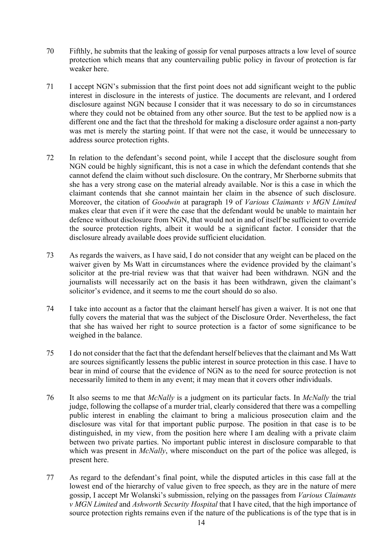- 70 Fifthly, he submits that the leaking of gossip for venal purposes attracts a low level of source protection which means that any countervailing public policy in favour of protection is far weaker here.
- 71 I accept NGN's submission that the first point does not add significant weight to the public interest in disclosure in the interests of justice. The documents are relevant, and I ordered disclosure against NGN because I consider that it was necessary to do so in circumstances where they could not be obtained from any other source. But the test to be applied now is a different one and the fact that the threshold for making a disclosure order against a non-party was met is merely the starting point. If that were not the case, it would be unnecessary to address source protection rights.
- 72 In relation to the defendant's second point, while I accept that the disclosure sought from NGN could be highly significant, this is not a case in which the defendant contends that she cannot defend the claim without such disclosure. On the contrary, Mr Sherborne submits that she has a very strong case on the material already available. Nor is this a case in which the claimant contends that she cannot maintain her claim in the absence of such disclosure. Moreover, the citation of *Goodwin* at paragraph 19 of *Various Claimants v MGN Limited* makes clear that even if it were the case that the defendant would be unable to maintain her defence without disclosure from NGN, that would not in and of itself be sufficient to override the source protection rights, albeit it would be a significant factor. I consider that the disclosure already available does provide sufficient elucidation.
- 73 As regards the waivers, as I have said, I do not consider that any weight can be placed on the waiver given by Ms Watt in circumstances where the evidence provided by the claimant's solicitor at the pre-trial review was that that waiver had been withdrawn. NGN and the journalists will necessarily act on the basis it has been withdrawn, given the claimant's solicitor's evidence, and it seems to me the court should do so also.
- 74 I take into account as a factor that the claimant herself has given a waiver. It is not one that fully covers the material that was the subject of the Disclosure Order. Nevertheless, the fact that she has waived her right to source protection is a factor of some significance to be weighed in the balance.
- 75 I do not consider that the fact that the defendant herself believes that the claimant and Ms Watt are sources significantly lessens the public interest in source protection in this case. I have to bear in mind of course that the evidence of NGN as to the need for source protection is not necessarily limited to them in any event; it may mean that it covers other individuals.
- 76 It also seems to me that *McNally* is a judgment on its particular facts. In *McNally* the trial judge, following the collapse of a murder trial, clearly considered that there was a compelling public interest in enabling the claimant to bring a malicious prosecution claim and the disclosure was vital for that important public purpose. The position in that case is to be distinguished, in my view, from the position here where I am dealing with a private claim between two private parties. No important public interest in disclosure comparable to that which was present in *McNally*, where misconduct on the part of the police was alleged, is present here.
- 77 As regard to the defendant's final point, while the disputed articles in this case fall at the lowest end of the hierarchy of value given to free speech, as they are in the nature of mere gossip, I accept Mr Wolanski's submission, relying on the passages from *Various Claimants v MGN Limited* and *Ashworth Security Hospital* that I have cited, that the high importance of source protection rights remains even if the nature of the publications is of the type that is in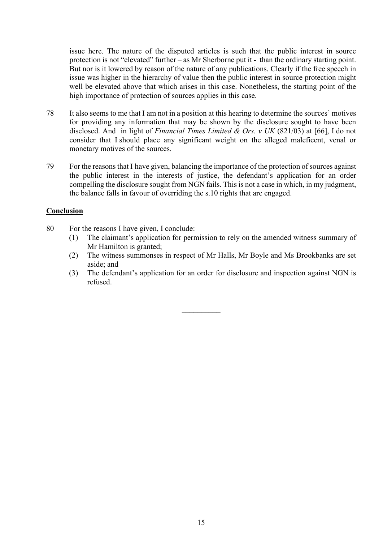issue here. The nature of the disputed articles is such that the public interest in source protection is not "elevated" further – as Mr Sherborne put it - than the ordinary starting point. But nor is it lowered by reason of the nature of any publications. Clearly if the free speech in issue was higher in the hierarchy of value then the public interest in source protection might well be elevated above that which arises in this case. Nonetheless, the starting point of the high importance of protection of sources applies in this case.

- 78 It also seems to me that I am not in a position at this hearing to determine the sources' motives for providing any information that may be shown by the disclosure sought to have been disclosed. And in light of *Financial Times Limited & Ors. v UK* (821/03) at [66], I do not consider that I should place any significant weight on the alleged maleficent, venal or monetary motives of the sources.
- 79 For the reasons that I have given, balancing the importance of the protection of sources against the public interest in the interests of justice, the defendant's application for an order compelling the disclosure sought from NGN fails. This is not a case in which, in my judgment, the balance falls in favour of overriding the s.10 rights that are engaged.

# **Conclusion**

- 80 For the reasons I have given, I conclude:
	- (1) The claimant's application for permission to rely on the amended witness summary of Mr Hamilton is granted;
	- (2) The witness summonses in respect of Mr Halls, Mr Boyle and Ms Brookbanks are set aside; and
	- (3) The defendant's application for an order for disclosure and inspection against NGN is refused.

 $\mathcal{L}_\text{max}$